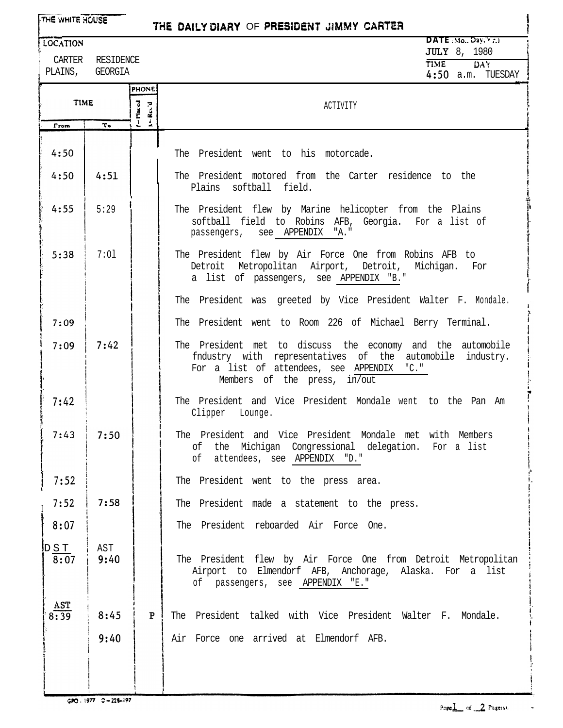| THE WHITE HOUSE<br>THE DAILY DIARY OF PRESIDENT JIMMY CARTER |                                     |                      |                                                                                                                                                                                                           |  |
|--------------------------------------------------------------|-------------------------------------|----------------------|-----------------------------------------------------------------------------------------------------------------------------------------------------------------------------------------------------------|--|
| <b>LOCATION</b>                                              |                                     |                      | DATE $(Mo., Day, Yr.)$<br><b>JULY</b> 8, 1980                                                                                                                                                             |  |
|                                                              | CARTER RESIDENCE<br>PLAINS, GEORGIA |                      | <b>TIME</b><br><b>DAY</b><br>$4:50$ a.m. TUESDAY                                                                                                                                                          |  |
|                                                              |                                     | <b>PHONE</b>         |                                                                                                                                                                                                           |  |
| <b>TIME</b>                                                  |                                     | $-$ Placed<br>K-Ro'd | ACTIVITY                                                                                                                                                                                                  |  |
| From                                                         | To                                  |                      |                                                                                                                                                                                                           |  |
| 4:50                                                         |                                     |                      | The President went to his motorcade.                                                                                                                                                                      |  |
| 4:50                                                         | 4:51                                |                      | The President motored from the Carter residence to the<br>Plains softball field.                                                                                                                          |  |
| 4:55                                                         | 5:29                                |                      | The President flew by Marine helicopter from the Plains<br>softball field to Robins AFB, Georgia. For a list of<br>passengers, see APPENDIX "A."                                                          |  |
| 5:38                                                         | 7:01                                |                      | The President flew by Air Force One from Robins AFB to<br>Detroit Metropolitan Airport, Detroit, Michigan. For<br>a list of passengers, see APPENDIX "B."                                                 |  |
|                                                              |                                     |                      | The President was greeted by Vice President Walter F. Mondale.                                                                                                                                            |  |
| 7:09                                                         |                                     |                      | The President went to Room 226 of Michael Berry Terminal.                                                                                                                                                 |  |
| 7:09                                                         | 7:42                                |                      | The President met to discuss the economy and the automobile<br>fndustry with representatives of the automobile<br>industry.<br>For a list of attendees, see APPENDIX "C."<br>Members of the press, in/out |  |
| 7:42                                                         |                                     |                      | The President and Vice President Mondale went to the Pan Am<br>Clipper Lounge.                                                                                                                            |  |
| 7:43                                                         | 7:50                                |                      | The President and Vice President Mondale met with Members<br>of the Michigan Congressional delegation. For a list<br>of attendees, see APPENDIX "D."                                                      |  |
| 7:52                                                         |                                     |                      | The President went to the press area.                                                                                                                                                                     |  |
| 7:52                                                         | 7:58                                |                      | The President made a statement to the press.                                                                                                                                                              |  |
| 8:07                                                         |                                     |                      | The President reboarded Air Force One.                                                                                                                                                                    |  |
| $\frac{\text{DS T}}{\text{8:07}}$                            | AST<br>9:40                         |                      | The President flew by Air Force One from Detroit Metropolitan<br>Airport to Elmendorf AFB, Anchorage, Alaska. For a list<br>of passengers, see APPENDIX "E."                                              |  |
| AST<br>8:39                                                  | 8:45                                | P                    | The President talked with Vice President Walter F. Mondale.                                                                                                                                               |  |
|                                                              | 9:40                                |                      | Air Force one arrived at Elmendorf AFB.                                                                                                                                                                   |  |
|                                                              |                                     |                      |                                                                                                                                                                                                           |  |